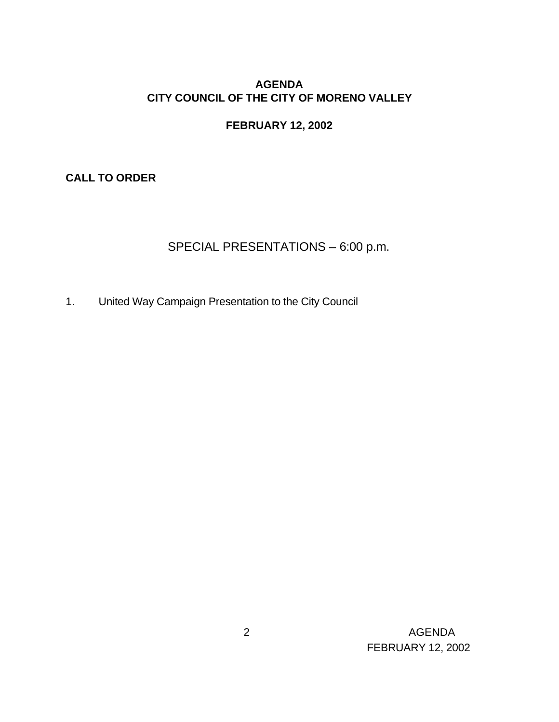### **AGENDA CITY COUNCIL OF THE CITY OF MORENO VALLEY**

### **FEBRUARY 12, 2002**

**CALL TO ORDER**

# SPECIAL PRESENTATIONS – 6:00 p.m.

1. United Way Campaign Presentation to the City Council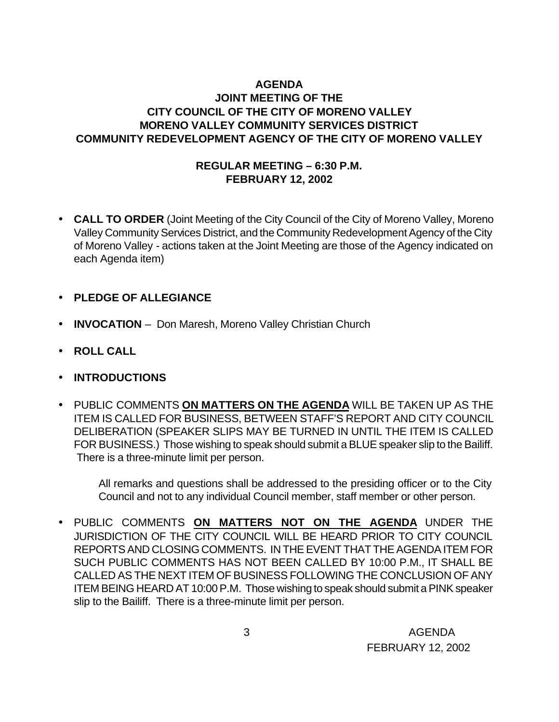### **AGENDA JOINT MEETING OF THE CITY COUNCIL OF THE CITY OF MORENO VALLEY MORENO VALLEY COMMUNITY SERVICES DISTRICT COMMUNITY REDEVELOPMENT AGENCY OF THE CITY OF MORENO VALLEY**

#### **REGULAR MEETING – 6:30 P.M. FEBRUARY 12, 2002**

- **CALL TO ORDER** (Joint Meeting of the City Council of the City of Moreno Valley, Moreno Valley Community Services District, and the Community Redevelopment Agency of the City of Moreno Valley - actions taken at the Joint Meeting are those of the Agency indicated on each Agenda item)
- **PLEDGE OF ALLEGIANCE**
- **INVOCATION** Don Maresh, Moreno Valley Christian Church
- **ROLL CALL**
- **INTRODUCTIONS**
- PUBLIC COMMENTS **ON MATTERS ON THE AGENDA** WILL BE TAKEN UP AS THE ITEM IS CALLED FOR BUSINESS, BETWEEN STAFF'S REPORT AND CITY COUNCIL DELIBERATION (SPEAKER SLIPS MAY BE TURNED IN UNTIL THE ITEM IS CALLED FOR BUSINESS.) Those wishing to speak should submit a BLUE speaker slip to the Bailiff. There is a three-minute limit per person.

All remarks and questions shall be addressed to the presiding officer or to the City Council and not to any individual Council member, staff member or other person.

• PUBLIC COMMENTS **ON MATTERS NOT ON THE AGENDA** UNDER THE JURISDICTION OF THE CITY COUNCIL WILL BE HEARD PRIOR TO CITY COUNCIL REPORTS AND CLOSING COMMENTS. IN THE EVENT THAT THE AGENDA ITEM FOR SUCH PUBLIC COMMENTS HAS NOT BEEN CALLED BY 10:00 P.M., IT SHALL BE CALLED AS THE NEXT ITEM OF BUSINESS FOLLOWING THE CONCLUSION OF ANY ITEM BEING HEARD AT 10:00 P.M. Those wishing to speak should submit a PINK speaker slip to the Bailiff. There is a three-minute limit per person.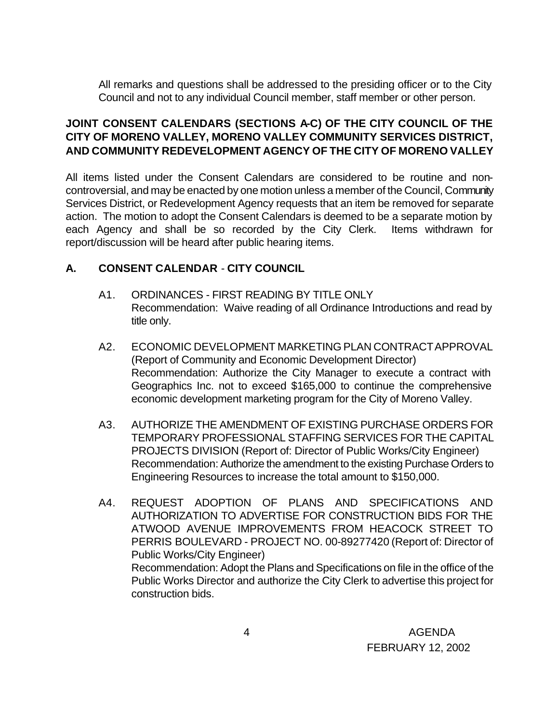All remarks and questions shall be addressed to the presiding officer or to the City Council and not to any individual Council member, staff member or other person.

### **JOINT CONSENT CALENDARS (SECTIONS A-C) OF THE CITY COUNCIL OF THE CITY OF MORENO VALLEY, MORENO VALLEY COMMUNITY SERVICES DISTRICT, AND COMMUNITY REDEVELOPMENT AGENCY OF THE CITY OF MORENO VALLEY**

All items listed under the Consent Calendars are considered to be routine and noncontroversial, and may be enacted by one motion unless a member of the Council, Community Services District, or Redevelopment Agency requests that an item be removed for separate action. The motion to adopt the Consent Calendars is deemed to be a separate motion by each Agency and shall be so recorded by the City Clerk. Items withdrawn for report/discussion will be heard after public hearing items.

# **A. CONSENT CALENDAR** - **CITY COUNCIL**

- A1. ORDINANCES FIRST READING BY TITLE ONLY Recommendation: Waive reading of all Ordinance Introductions and read by title only.
- A2. ECONOMIC DEVELOPMENT MARKETING PLAN CONTRACTAPPROVAL (Report of Community and Economic Development Director) Recommendation: Authorize the City Manager to execute a contract with Geographics Inc. not to exceed \$165,000 to continue the comprehensive economic development marketing program for the City of Moreno Valley.
- A3. AUTHORIZE THE AMENDMENT OF EXISTING PURCHASE ORDERS FOR TEMPORARY PROFESSIONAL STAFFING SERVICES FOR THE CAPITAL PROJECTS DIVISION (Report of: Director of Public Works/City Engineer) Recommendation: Authorize the amendment to the existing Purchase Orders to Engineering Resources to increase the total amount to \$150,000.
- A4. REQUEST ADOPTION OF PLANS AND SPECIFICATIONS AND AUTHORIZATION TO ADVERTISE FOR CONSTRUCTION BIDS FOR THE ATWOOD AVENUE IMPROVEMENTS FROM HEACOCK STREET TO PERRIS BOULEVARD - PROJECT NO. 00-89277420 (Report of: Director of Public Works/City Engineer) Recommendation: Adopt the Plans and Specifications on file in the office of the Public Works Director and authorize the City Clerk to advertise this project for construction bids.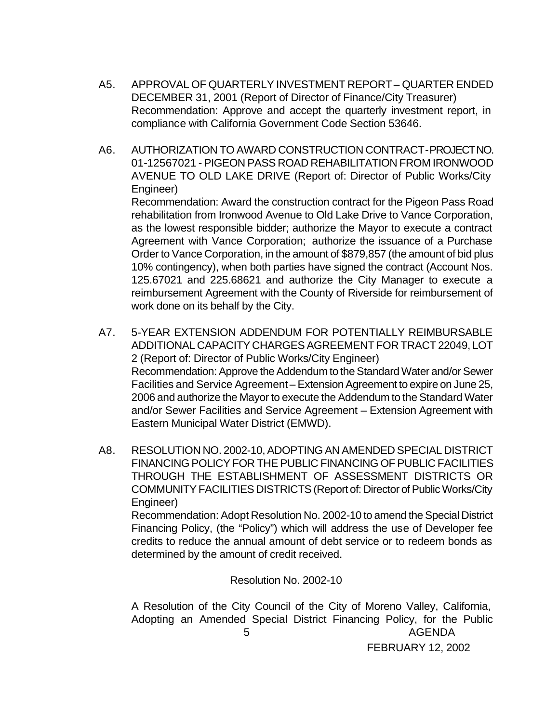- A5. APPROVAL OF QUARTERLY INVESTMENT REPORT QUARTER ENDED DECEMBER 31, 2001 (Report of Director of Finance/City Treasurer) Recommendation: Approve and accept the quarterly investment report, in compliance with California Government Code Section 53646.
- A6. AUTHORIZATION TO AWARD CONSTRUCTION CONTRACT PROJECT NO. 01-12567021 - PIGEON PASS ROAD REHABILITATION FROM IRONWOOD AVENUE TO OLD LAKE DRIVE (Report of: Director of Public Works/City Engineer)

Recommendation: Award the construction contract for the Pigeon Pass Road rehabilitation from Ironwood Avenue to Old Lake Drive to Vance Corporation, as the lowest responsible bidder; authorize the Mayor to execute a contract Agreement with Vance Corporation; authorize the issuance of a Purchase Order to Vance Corporation, in the amount of \$879,857 (the amount of bid plus 10% contingency), when both parties have signed the contract (Account Nos. 125.67021 and 225.68621 and authorize the City Manager to execute a reimbursement Agreement with the County of Riverside for reimbursement of work done on its behalf by the City.

- A7. 5-YEAR EXTENSION ADDENDUM FOR POTENTIALLY REIMBURSABLE ADDITIONAL CAPACITY CHARGES AGREEMENT FOR TRACT 22049, LOT 2 (Report of: Director of Public Works/City Engineer) Recommendation: Approve the Addendum to the Standard Water and/or Sewer Facilities and Service Agreement – Extension Agreement to expire on June 25, 2006 and authorize the Mayor to execute the Addendum to the Standard Water and/or Sewer Facilities and Service Agreement – Extension Agreement with Eastern Municipal Water District (EMWD).
- A8. RESOLUTION NO. 2002-10, ADOPTING AN AMENDED SPECIAL DISTRICT FINANCING POLICY FOR THE PUBLIC FINANCING OF PUBLIC FACILITIES THROUGH THE ESTABLISHMENT OF ASSESSMENT DISTRICTS OR COMMUNITY FACILITIES DISTRICTS (Report of: Director of Public Works/City Engineer) Recommendation: Adopt Resolution No. 2002-10 to amend the Special District

Financing Policy, (the "Policy") which will address the use of Developer fee credits to reduce the annual amount of debt service or to redeem bonds as determined by the amount of credit received.

Resolution No. 2002-10

 5 AGENDA FEBRUARY 12, 2002 A Resolution of the City Council of the City of Moreno Valley, California, Adopting an Amended Special District Financing Policy, for the Public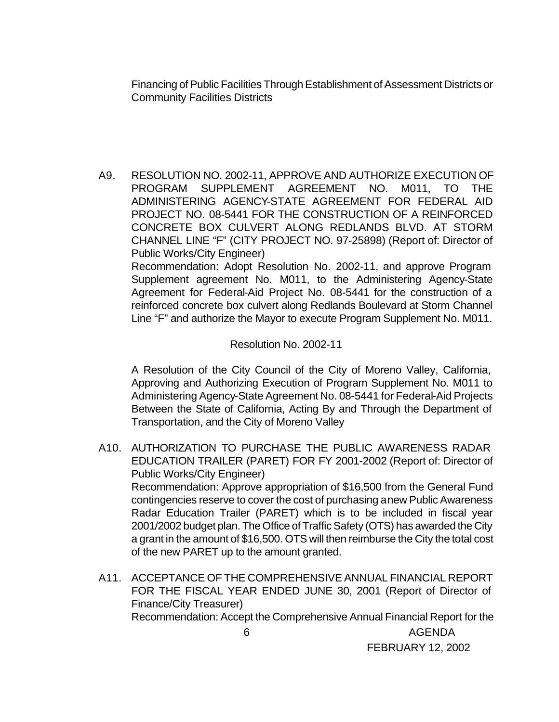Financing of Public Facilities Through Establishment of Assessment Districts or Community Facilities Districts

A9. RESOLUTION NO. 2002-11, APPROVE AND AUTHORIZE EXECUTION OF PROGRAM SUPPLEMENT AGREEMENT NO. M011, TO THE ADMINISTERING AGENCY-STATE AGREEMENT FOR FEDERAL AID PROJECT NO. 08-5441 FOR THE CONSTRUCTION OF A REINFORCED CONCRETE BOX CULVERT ALONG REDLANDS BLVD. AT STORM CHANNEL LINE "F" (CITY PROJECT NO. 97-25898) (Report of: Director of Public Works/City Engineer)

Recommendation: Adopt Resolution No. 2002-11, and approve Program Supplement agreement No. M011, to the Administering Agency-State Agreement for Federal-Aid Project No. 08-5441 for the construction of a reinforced concrete box culvert along Redlands Boulevard at Storm Channel Line "F" and authorize the Mayor to execute Program Supplement No. M011.

Resolution No. 2002-11

A Resolution of the City Council of the City of Moreno Valley, California, Approving and Authorizing Execution of Program Supplement No. M011 to Administering Agency-State Agreement No. 08-5441 for Federal-Aid Projects Between the State of California, Acting By and Through the Department of Transportation, and the City of Moreno Valley

- A10. AUTHORIZATION TO PURCHASE THE PUBLIC AWARENESS RADAR EDUCATION TRAILER (PARET) FOR FY 2001-2002 (Report of: Director of Public Works/City Engineer) Recommendation: Approve appropriation of \$16,500 from the General Fund contingencies reserve to cover the cost of purchasing a new Public Awareness Radar Education Trailer (PARET) which is to be included in fiscal year 2001/2002 budget plan. The Office of Traffic Safety (OTS) has awarded the City a grant in the amount of \$16,500. OTS will then reimburse the City the total cost of the new PARET up to the amount granted.
- 6 AGENDA A11. ACCEPTANCE OF THE COMPREHENSIVE ANNUAL FINANCIAL REPORT FOR THE FISCAL YEAR ENDED JUNE 30, 2001 (Report of Director of Finance/City Treasurer) Recommendation: Accept the Comprehensive Annual Financial Report for the

FEBRUARY 12, 2002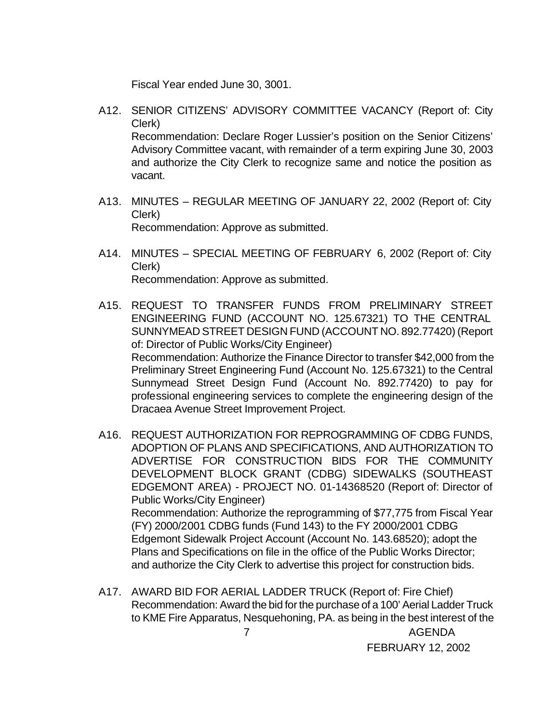Fiscal Year ended June 30, 3001.

- A12. SENIOR CITIZENS' ADVISORY COMMITTEE VACANCY (Report of: City Clerk) Recommendation: Declare Roger Lussier's position on the Senior Citizens' Advisory Committee vacant, with remainder of a term expiring June 30, 2003 and authorize the City Clerk to recognize same and notice the position as vacant.
- A13. MINUTES REGULAR MEETING OF JANUARY 22, 2002 (Report of: City Clerk) Recommendation: Approve as submitted.
- A14. MINUTES SPECIAL MEETING OF FEBRUARY 6, 2002 (Report of: City Clerk) Recommendation: Approve as submitted.
- A15. REQUEST TO TRANSFER FUNDS FROM PRELIMINARY STREET ENGINEERING FUND (ACCOUNT NO. 125.67321) TO THE CENTRAL SUNNYMEAD STREET DESIGN FUND (ACCOUNT NO. 892.77420) (Report of: Director of Public Works/City Engineer) Recommendation: Authorize the Finance Director to transfer \$42,000 from the Preliminary Street Engineering Fund (Account No. 125.67321) to the Central Sunnymead Street Design Fund (Account No. 892.77420) to pay for professional engineering services to complete the engineering design of the Dracaea Avenue Street Improvement Project.
- A16. REQUEST AUTHORIZATION FOR REPROGRAMMING OF CDBG FUNDS, ADOPTION OF PLANS AND SPECIFICATIONS, AND AUTHORIZATION TO ADVERTISE FOR CONSTRUCTION BIDS FOR THE COMMUNITY DEVELOPMENT BLOCK GRANT (CDBG) SIDEWALKS (SOUTHEAST EDGEMONT AREA) - PROJECT NO. 01-14368520 (Report of: Director of Public Works/City Engineer) Recommendation: Authorize the reprogramming of \$77,775 from Fiscal Year (FY) 2000/2001 CDBG funds (Fund 143) to the FY 2000/2001 CDBG Edgemont Sidewalk Project Account (Account No. 143.68520); adopt the Plans and Specifications on file in the office of the Public Works Director; and authorize the City Clerk to advertise this project for construction bids.
- 7 AGENDA A17. AWARD BID FOR AERIAL LADDER TRUCK (Report of: Fire Chief) Recommendation: Award the bid for the purchase of a 100' Aerial Ladder Truck to KME Fire Apparatus, Nesquehoning, PA. as being in the best interest of the

FEBRUARY 12, 2002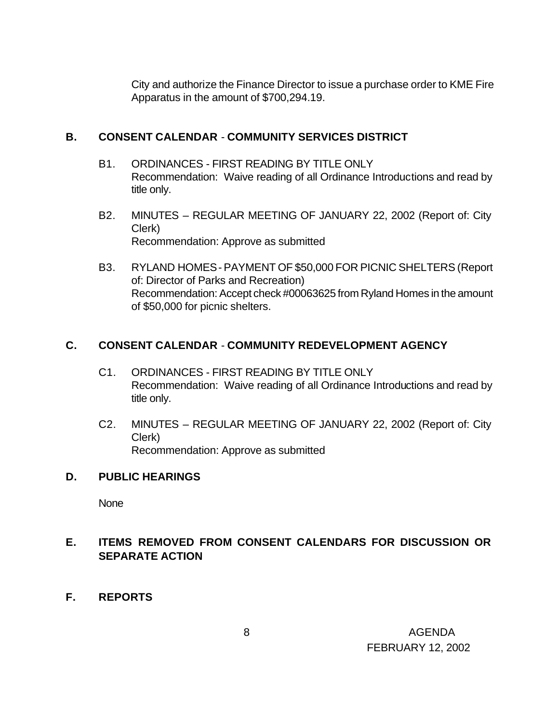City and authorize the Finance Director to issue a purchase order to KME Fire Apparatus in the amount of \$700,294.19.

### **B. CONSENT CALENDAR** - **COMMUNITY SERVICES DISTRICT**

- B1. ORDINANCES FIRST READING BY TITLE ONLY Recommendation: Waive reading of all Ordinance Introductions and read by title only.
- B2. MINUTES REGULAR MEETING OF JANUARY 22, 2002 (Report of: City Clerk) Recommendation: Approve as submitted
- B3. RYLAND HOMES PAYMENT OF \$50,000 FOR PICNIC SHELTERS (Report of: Director of Parks and Recreation) Recommendation: Accept check #00063625 from Ryland Homes in the amount of \$50,000 for picnic shelters.

# **C. CONSENT CALENDAR** - **COMMUNITY REDEVELOPMENT AGENCY**

- C1. ORDINANCES FIRST READING BY TITLE ONLY Recommendation: Waive reading of all Ordinance Introductions and read by title only.
- C2. MINUTES REGULAR MEETING OF JANUARY 22, 2002 (Report of: City Clerk) Recommendation: Approve as submitted

#### **D. PUBLIC HEARINGS**

**None** 

# **E. ITEMS REMOVED FROM CONSENT CALENDARS FOR DISCUSSION OR SEPARATE ACTION**

**F. REPORTS**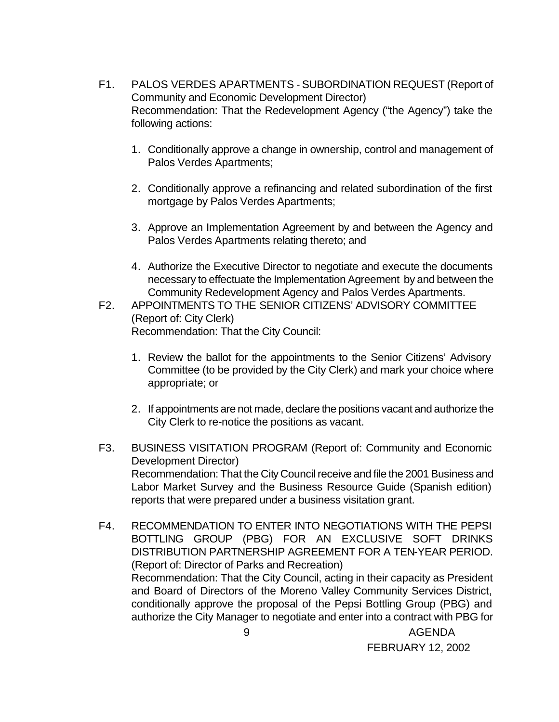- F1. PALOS VERDES APARTMENTS SUBORDINATION REQUEST (Report of Community and Economic Development Director) Recommendation: That the Redevelopment Agency ("the Agency") take the following actions:
	- 1. Conditionally approve a change in ownership, control and management of Palos Verdes Apartments;
	- 2. Conditionally approve a refinancing and related subordination of the first mortgage by Palos Verdes Apartments;
	- 3. Approve an Implementation Agreement by and between the Agency and Palos Verdes Apartments relating thereto; and
	- 4. Authorize the Executive Director to negotiate and execute the documents necessary to effectuate the Implementation Agreement by and between the Community Redevelopment Agency and Palos Verdes Apartments.
- F2. APPOINTMENTS TO THE SENIOR CITIZENS' ADVISORY COMMITTEE (Report of: City Clerk) Recommendation: That the City Council:
	- 1. Review the ballot for the appointments to the Senior Citizens' Advisory Committee (to be provided by the City Clerk) and mark your choice where appropriate; or
	- 2. If appointments are not made, declare the positions vacant and authorize the City Clerk to re-notice the positions as vacant.
- F3. BUSINESS VISITATION PROGRAM (Report of: Community and Economic Development Director) Recommendation: That the City Council receive and file the 2001 Business and Labor Market Survey and the Business Resource Guide (Spanish edition) reports that were prepared under a business visitation grant.
- 9 AGENDA F4. RECOMMENDATION TO ENTER INTO NEGOTIATIONS WITH THE PEPSI BOTTLING GROUP (PBG) FOR AN EXCLUSIVE SOFT DRINKS DISTRIBUTION PARTNERSHIP AGREEMENT FOR A TEN-YEAR PERIOD. (Report of: Director of Parks and Recreation) Recommendation: That the City Council, acting in their capacity as President and Board of Directors of the Moreno Valley Community Services District, conditionally approve the proposal of the Pepsi Bottling Group (PBG) and authorize the City Manager to negotiate and enter into a contract with PBG for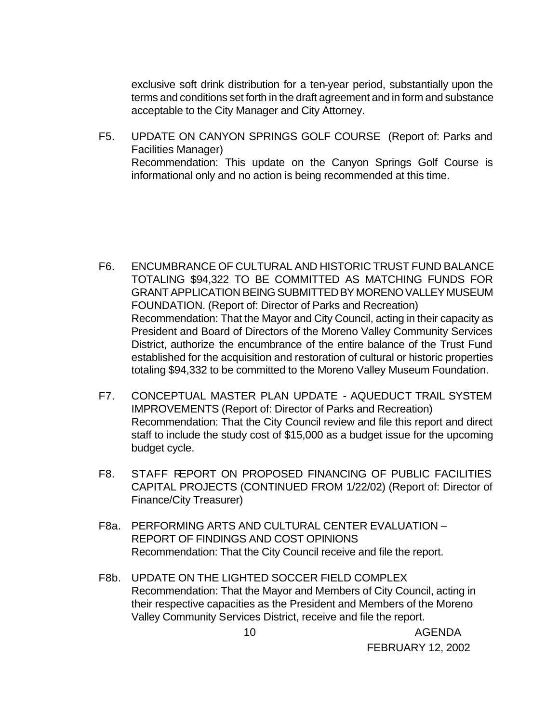exclusive soft drink distribution for a ten-year period, substantially upon the terms and conditions set forth in the draft agreement and in form and substance acceptable to the City Manager and City Attorney.

F5. UPDATE ON CANYON SPRINGS GOLF COURSE (Report of: Parks and Facilities Manager) Recommendation: This update on the Canyon Springs Golf Course is informational only and no action is being recommended at this time.

- F6. ENCUMBRANCE OF CULTURAL AND HISTORIC TRUST FUND BALANCE TOTALING \$94,322 TO BE COMMITTED AS MATCHING FUNDS FOR GRANT APPLICATION BEING SUBMITTED BY MORENO VALLEY MUSEUM FOUNDATION. (Report of: Director of Parks and Recreation) Recommendation: That the Mayor and City Council, acting in their capacity as President and Board of Directors of the Moreno Valley Community Services District, authorize the encumbrance of the entire balance of the Trust Fund established for the acquisition and restoration of cultural or historic properties totaling \$94,332 to be committed to the Moreno Valley Museum Foundation.
- F7. CONCEPTUAL MASTER PLAN UPDATE AQUEDUCT TRAIL SYSTEM IMPROVEMENTS (Report of: Director of Parks and Recreation) Recommendation: That the City Council review and file this report and direct staff to include the study cost of \$15,000 as a budget issue for the upcoming budget cycle.
- F8. STAFF REPORT ON PROPOSED FINANCING OF PUBLIC FACILITIES CAPITAL PROJECTS (CONTINUED FROM 1/22/02) (Report of: Director of Finance/City Treasurer)
- F8a. PERFORMING ARTS AND CULTURAL CENTER EVALUATION REPORT OF FINDINGS AND COST OPINIONS Recommendation: That the City Council receive and file the report.
- F8b. UPDATE ON THE LIGHTED SOCCER FIELD COMPLEX Recommendation: That the Mayor and Members of City Council, acting in their respective capacities as the President and Members of the Moreno Valley Community Services District, receive and file the report.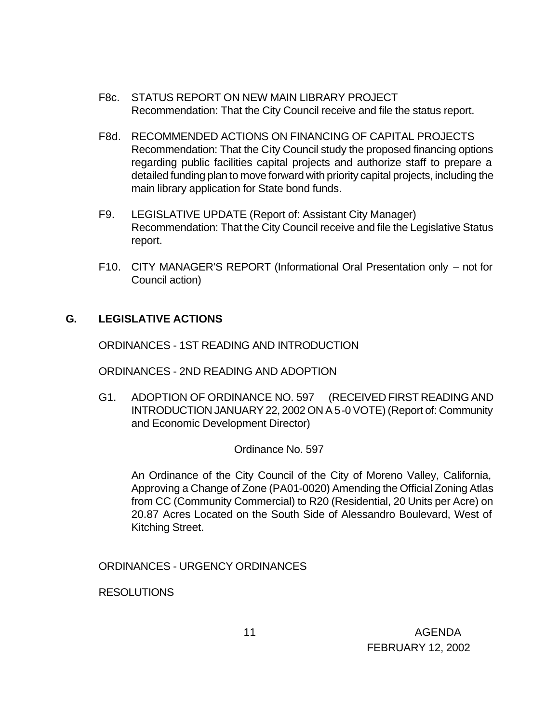- F8c. STATUS REPORT ON NEW MAIN LIBRARY PROJECT Recommendation: That the City Council receive and file the status report.
- F8d. RECOMMENDED ACTIONS ON FINANCING OF CAPITAL PROJECTS Recommendation: That the City Council study the proposed financing options regarding public facilities capital projects and authorize staff to prepare a detailed funding plan to move forward with priority capital projects, including the main library application for State bond funds.
- F9. LEGISLATIVE UPDATE (Report of: Assistant City Manager) Recommendation: That the City Council receive and file the Legislative Status report.
- F10. CITY MANAGER'S REPORT (Informational Oral Presentation only not for Council action)

#### **G. LEGISLATIVE ACTIONS**

ORDINANCES - 1ST READING AND INTRODUCTION

ORDINANCES - 2ND READING AND ADOPTION

G1. ADOPTION OF ORDINANCE NO. 597 (RECEIVED FIRST READING AND INTRODUCTION JANUARY 22, 2002 ON A 5-0 VOTE) (Report of: Community and Economic Development Director)

#### Ordinance No. 597

An Ordinance of the City Council of the City of Moreno Valley, California, Approving a Change of Zone (PA01-0020) Amending the Official Zoning Atlas from CC (Community Commercial) to R20 (Residential, 20 Units per Acre) on 20.87 Acres Located on the South Side of Alessandro Boulevard, West of Kitching Street.

ORDINANCES - URGENCY ORDINANCES

RESOLUTIONS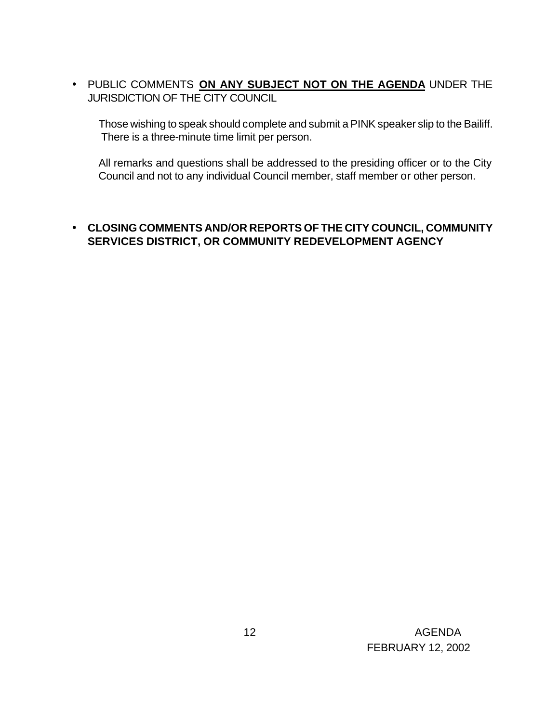• PUBLIC COMMENTS **ON ANY SUBJECT NOT ON THE AGENDA** UNDER THE JURISDICTION OF THE CITY COUNCIL

Those wishing to speak should complete and submit a PINK speaker slip to the Bailiff. There is a three-minute time limit per person.

All remarks and questions shall be addressed to the presiding officer or to the City Council and not to any individual Council member, staff member or other person.

#### • **CLOSING COMMENTS AND/OR REPORTS OF THE CITY COUNCIL, COMMUNITY SERVICES DISTRICT, OR COMMUNITY REDEVELOPMENT AGENCY**